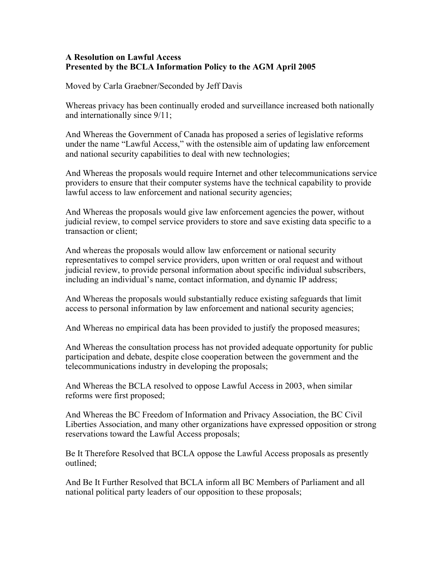## **A Resolution on Lawful Access Presented by the BCLA Information Policy to the AGM April 2005**

Moved by Carla Graebner/Seconded by Jeff Davis

Whereas privacy has been continually eroded and surveillance increased both nationally and internationally since 9/11;

And Whereas the Government of Canada has proposed a series of legislative reforms under the name "Lawful Access," with the ostensible aim of updating law enforcement and national security capabilities to deal with new technologies;

And Whereas the proposals would require Internet and other telecommunications service providers to ensure that their computer systems have the technical capability to provide lawful access to law enforcement and national security agencies;

And Whereas the proposals would give law enforcement agencies the power, without judicial review, to compel service providers to store and save existing data specific to a transaction or client;

And whereas the proposals would allow law enforcement or national security representatives to compel service providers, upon written or oral request and without judicial review, to provide personal information about specific individual subscribers, including an individual's name, contact information, and dynamic IP address;

And Whereas the proposals would substantially reduce existing safeguards that limit access to personal information by law enforcement and national security agencies;

And Whereas no empirical data has been provided to justify the proposed measures;

And Whereas the consultation process has not provided adequate opportunity for public participation and debate, despite close cooperation between the government and the telecommunications industry in developing the proposals;

And Whereas the BCLA resolved to oppose Lawful Access in 2003, when similar reforms were first proposed;

And Whereas the BC Freedom of Information and Privacy Association, the BC Civil Liberties Association, and many other organizations have expressed opposition or strong reservations toward the Lawful Access proposals;

Be It Therefore Resolved that BCLA oppose the Lawful Access proposals as presently outlined;

And Be It Further Resolved that BCLA inform all BC Members of Parliament and all national political party leaders of our opposition to these proposals;